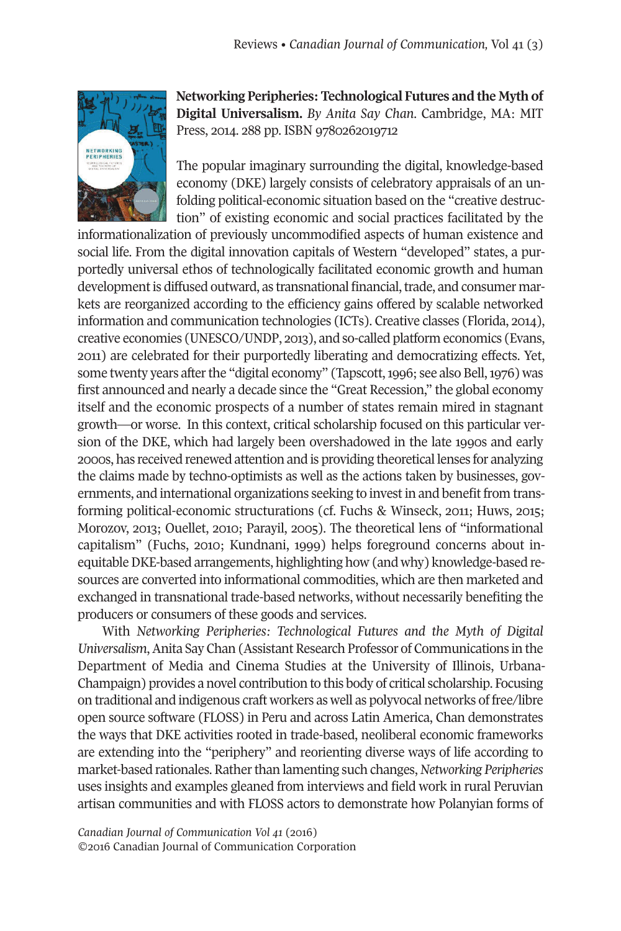

**Networking Peripheries:Technological Futures and the Myth of Digital Universalism.** *By Anita Say Chan*. Cambridge, MA: MIT Press, 2014. 288 pp. ISBN 9780262019712

The popular imaginary surrounding the digital, knowledge-based economy (DKE) largely consists of celebratory appraisals of an unfolding political-economic situation based on the "creative destruction" of existing economic and social practices facilitated by the

informationalization of previously uncommodified aspects of human existence and social life. From the digital innovation capitals of Western "developed" states, a purportedly universal ethos of technologically facilitated economic growth and human development is diffused outward, as transnational financial, trade, and consumer markets are reorganized according to the efficiency gains offered by scalable networked information and communication technologies (ICTs). Creative classes (Florida, 2014), creative economies (UNESCO/UNDP, 2013), and so-called platform economics (Evans, 2011) are celebrated for their purportedly liberating and democratizing effects. Yet, some twenty years after the "digital economy" (Tapscott, 1996; see also Bell, 1976) was first announced and nearly a decade since the "Great Recession," the global economy itself and the economic prospects of a number of states remain mired in stagnant growth—or worse. In this context, critical scholarship focused on this particular version of the DKE, which had largely been overshadowed in the late 1990s and early 2000s, has received renewed attention and is providing theoretical lenses for analyzing the claims made by techno-optimists as well as the actions taken by businesses, governments, and international organizations seeking to invest in and benefit from transforming political-economic structurations (cf. Fuchs & Winseck, 2011; Huws, 2015; Morozov, 2013; Ouellet, 2010; Parayil, 2005). The theoretical lens of "informational capitalism" (Fuchs, 2010; Kundnani, 1999) helps foreground concerns about inequitableDKE-based arrangements, highlighting how (and why) knowledge-based resources are converted into informational commodities, which are then marketed and exchanged in transnational trade-based networks, without necessarily benefiting the producers or consumers of these goods and services.

With *Networking Peripheries: Technological Futures and the Myth of Digital Universalism*,Anita Say Chan (Assistant Research Professor of Communications in the Department of Media and Cinema Studies at the University of Illinois, Urbana-Champaign) provides a novel contribution to this body of critical scholarship. Focusing on traditional and indigenous craft workers as well as polyvocal networks of free/libre open source software (FLOSS) in Peru and across Latin America, Chan demonstrates the ways that DKE activities rooted in trade-based, neoliberal economic frameworks are extending into the "periphery" and reorienting diverse ways of life according to market-based rationales. Ratherthan lamenting such changes,*Networking Peripheries* uses insights and examples gleaned from interviews and field work in rural Peruvian artisan communities and with FLOSS actors to demonstrate how Polanyian forms of

*Canadian Journal of [Communication](http://www.cjc-online.ca) Vol 41* (2016) ©2016 Canadian Journal of Communication Corporation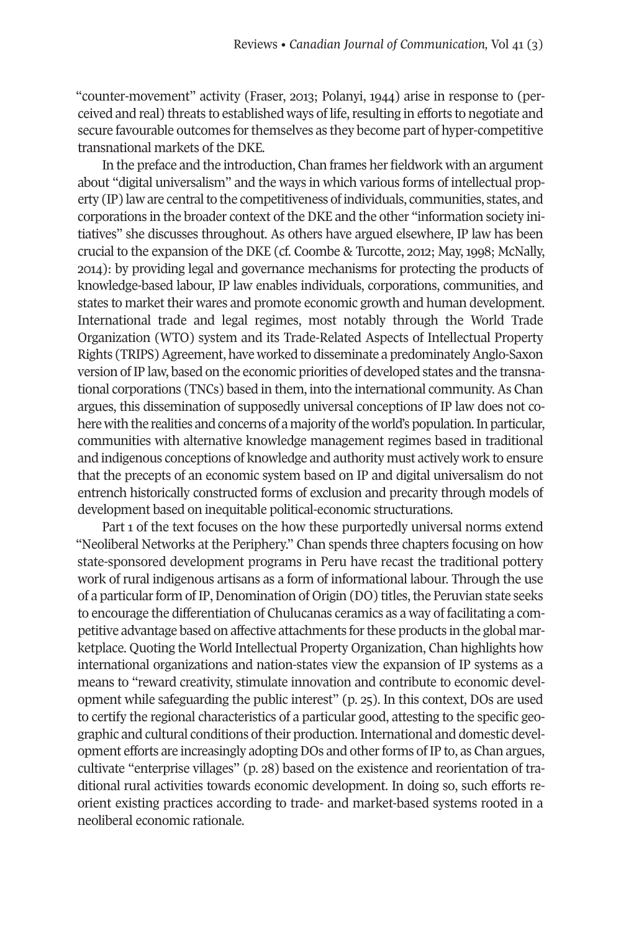"counter-movement" activity (Fraser, 2013; Polanyi, 1944) arise in response to (perceived and real) threats to established ways of life, resulting in efforts to negotiate and secure favourable outcomes for themselves as they become part of hyper-competitive transnational markets of the DKE.

In the preface and the introduction, Chan frames her fieldwork with an argument about "digital universalism" and the ways in which various forms of intellectual property (IP) law are central to the competitiveness of individuals, communities, states, and corporations in the broader context of the DKE and the other "information society initiatives" she discusses throughout. As others have argued elsewhere, IP law has been crucial to the expansion of the DKE (cf. Coombe & Turcotte, 2012; May, 1998; McNally, 2014): by providing legal and governance mechanisms for protecting the products of knowledge-based labour, IP law enables individuals, corporations, communities, and states to market their wares and promote economic growth and human development. International trade and legal regimes, most notably through the World Trade Organization (WTO) system and its Trade-Related Aspects of Intellectual Property Rights (TRIPS)Agreement, have worked to disseminate a predominatelyAnglo-Saxon version ofIP law, based on the economic priorities of developed states and the transnational corporations (TNCs) based in them, into the international community. As Chan argues, this dissemination of supposedly universal conceptions of IP law does not cohere with the realities and concerns of a majority of the world's population. In particular, communities with alternative knowledge management regimes based in traditional and indigenous conceptions of knowledge and authority must actively work to ensure that the precepts of an economic system based on IP and digital universalism do not entrench historically constructed forms of exclusion and precarity through models of development based on inequitable political-economic structurations.

Part 1 of the text focuses on the how these purportedly universal norms extend "Neoliberal Networks at the Periphery." Chan spends three chapters focusing on how state-sponsored development programs in Peru have recast the traditional pottery work of rural indigenous artisans as a form of informational labour. Through the use of a particular form of IP, Denomination of Origin (DO) titles, the Peruvian state seeks to encourage the differentiation of Chulucanas ceramics as a way of facilitating a competitive advantage based on affective attachments forthese products in the global marketplace. Quoting the World Intellectual Property Organization, Chan highlights how international organizations and nation-states view the expansion of IP systems as a means to "reward creativity, stimulate innovation and contribute to economic development while safeguarding the public interest" (p. 25). In this context, DOs are used to certify the regional characteristics of a particular good, attesting to the specific geographic and cultural conditions of their production. International and domestic development efforts are increasingly adopting DOs and other forms of IP to, as Chan argues, cultivate "enterprise villages" (p. 28) based on the existence and reorientation of traditional rural activities towards economic development. In doing so, such efforts reorient existing practices according to trade- and market-based systems rooted in a neoliberal economic rationale.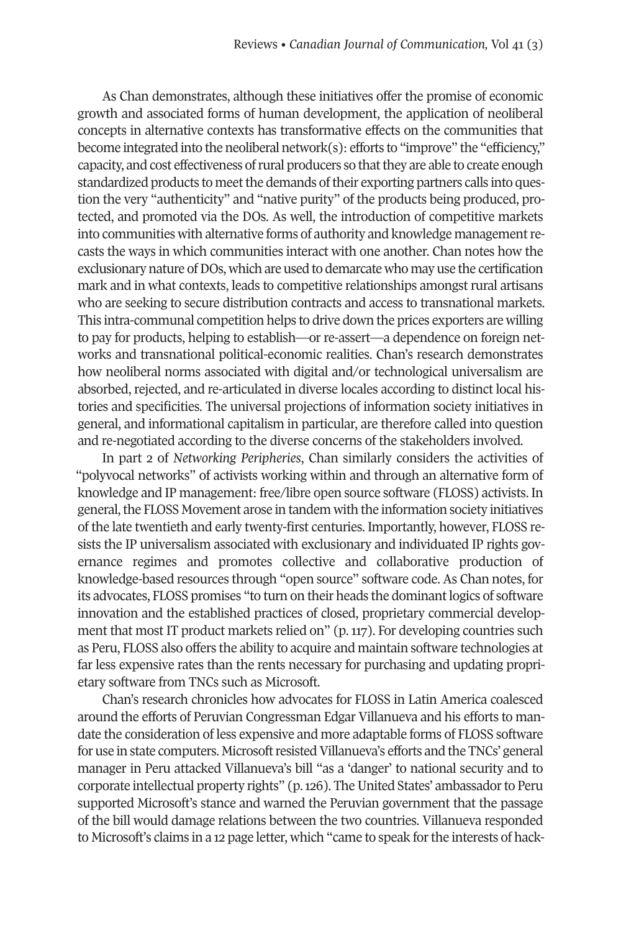As Chan demonstrates, although these initiatives offer the promise of economic growth and associated forms of human development, the application of neoliberal concepts in alternative contexts has transformative effects on the communities that become integrated into the neoliberal network(s): efforts to "improve" the "efficiency," capacity, and cost effectiveness of rural producers so that they are able to create enough standardized products to meet the demands of their exporting partners calls into question the very "authenticity" and "native purity" of the products being produced, protected, and promoted via the DOs. As well, the introduction of competitive markets into communities with alternative forms of authority and knowledge managementrecasts the ways in which communities interact with one another. Chan notes how the exclusionary nature of DOs, which are used to demarcate who may use the certification mark and in what contexts, leads to competitive relationships amongst rural artisans who are seeking to secure distribution contracts and access to transnational markets. This intra-communal competition helps to drive down the prices exporters are willing to pay for products, helping to establish—or re-assert—a dependence on foreign networks and transnational political-economic realities. Chan's research demonstrates how neoliberal norms associated with digital and/or technological universalism are absorbed, rejected, and re-articulated in diverse locales according to distinct local histories and specificities. The universal projections of information society initiatives in general, and informational capitalism in particular, are therefore called into question and re-negotiated according to the diverse concerns of the stakeholders involved.

In part 2 of *Networking Peripheries*, Chan similarly considers the activities of "polyvocal networks" of activists working within and through an alternative form of knowledge and IP management: free/libre open source software (FLOSS) activists. In general, the FLOSS Movement arose in tandem with the information society initiatives of the late twentieth and early twenty-first centuries. Importantly, however, FLOSS resists the IP universalism associated with exclusionary and individuated IP rights governance regimes and promotes collective and collaborative production of knowledge-based resources through "open source" software code. As Chan notes, for its advocates, FLOSS promises "to turn on their heads the dominant logics of software innovation and the established practices of closed, proprietary commercial development that most IT product markets relied on" (p. 117). For developing countries such as Peru, FLOSS also offers the ability to acquire and maintain software technologies at far less expensive rates than the rents necessary for purchasing and updating proprietary software from TNCs such as Microsoft.

Chan's research chronicles how advocates for FLOSS in Latin America coalesced around the efforts of Peruvian Congressman Edgar Villanueva and his efforts to mandate the consideration of less expensive and more adaptable forms of FLOSS software for use in state computers. Microsoft resisted Villanueva's efforts and the TNCs' general manager in Peru attacked Villanueva's bill "as a 'danger' to national security and to corporate intellectual property rights" (p.126). TheUnited States' ambassadorto Peru supported Microsoft's stance and warned the Peruvian government that the passage of the bill would damage relations between the two countries. Villanueva responded to Microsoft's claims in a 12 page letter, which "came to speak forthe interests of hack-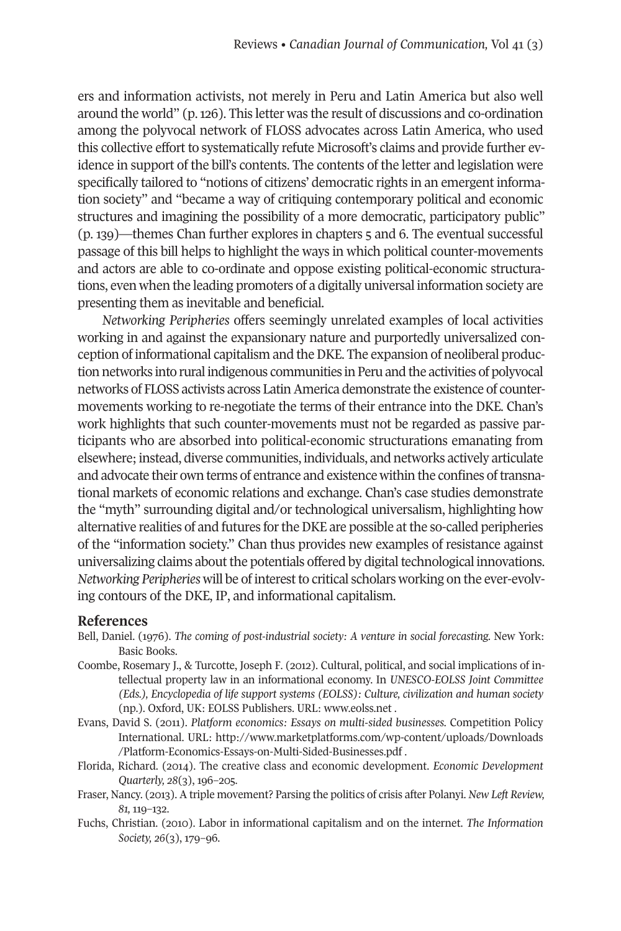ers and information activists, not merely in Peru and Latin America but also well around the world" (p.126). This letter was the result of discussions and co-ordination among the polyvocal network of FLOSS advocates across Latin America, who used this collective effort to systematically refute Microsoft's claims and provide further evidence in support of the bill's contents. The contents of the letter and legislation were specifically tailored to "notions of citizens' democratic rights in an emergent information society" and "became a way of critiquing contemporary political and economic structures and imagining the possibility of a more democratic, participatory public" (p. 139)—themes Chan further explores in chapters 5 and 6. The eventual successful passage of this bill helps to highlight the ways in which political counter-movements and actors are able to co-ordinate and oppose existing political-economic structurations, even when the leading promoters of a digitally universal information society are presenting them as inevitable and beneficial.

*Networking Peripheries* offers seemingly unrelated examples of local activities working in and against the expansionary nature and purportedly universalized conception of informational capitalism and theDKE. The expansion of neoliberal production networks into rural indigenous communities in Peru and the activities of polyvocal networks of FLOSS activists across LatinAmerica demonstrate the existence of countermovements working to re-negotiate the terms of their entrance into the DKE. Chan's work highlights that such counter-movements must not be regarded as passive participants who are absorbed into political-economic structurations emanating from elsewhere; instead, diverse communities, individuals, and networks actively articulate and advocate their own terms of entrance and existence within the confines oftransnational markets of economic relations and exchange. Chan's case studies demonstrate the "myth" surrounding digital and/or technological universalism, highlighting how alternative realities of and futures fortheDKE are possible atthe so-called peripheries of the "information society." Chan thus provides new examples of resistance against universalizing claims aboutthe potentials offered by digitaltechnological innovations. *Networking Peripheries* will be of interestto critical scholars working on the ever-evolving contours of the DKE, IP, and informational capitalism.

## **References**

- Bell, Daniel. (1976). *The coming of post-industrial society: A venture in social forecasting.* New York: Basic Books.
- Coombe, Rosemary J., & Turcotte, Joseph F. (2012). Cultural, political, and social implications of intellectual property law in an informational economy. In *UNESCO-EOLSS Joint Committee (Eds.), Encyclopedia of life support systems (EOLSS): Culture, civilization and human society* (np.). Oxford, UK: EOLSS Publishers. URL: <www.eolss.net> .
- Evans, David S. (2011). *Platform economics: Essays on multi-sided businesses.* Competition Policy International. URL: [http://www.marketplatforms.com/wp-content/uploads/Downloads](http://www.marketplatforms.com/wp-content/uploads/Downloads/Platform-Economics-Essays-on-Multi-Sided-Businesses.pdf) [/Platform-Economics-Essays-on-Multi-Sided-Businesses.pdf](http://www.marketplatforms.com/wp-content/uploads/Downloads/Platform-Economics-Essays-on-Multi-Sided-Businesses.pdf) .
- Florida, Richard. (2014). The creative class and economic development. *Economic Development Quarterly, 28*(3), 196–205.
- Fraser, Nancy. (2013). A triple movement? Parsing the politics of crisis after Polanyi. *New Left Review, 81,* 119–132.
- Fuchs, Christian. (2010). Labor in informational capitalism and on the internet. *The Information Society, 26*(3), 179–96.